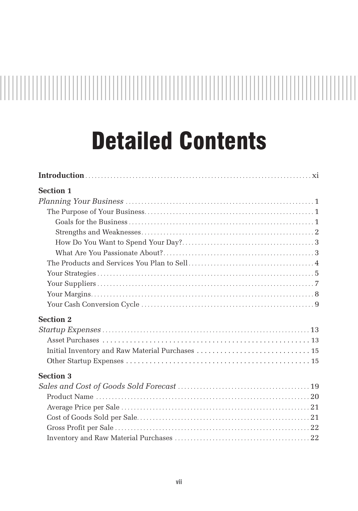# 

## Detailed Contents

| <b>Section 1</b> |
|------------------|
|                  |
|                  |
|                  |
|                  |
|                  |
|                  |
|                  |
|                  |
|                  |
|                  |
|                  |
|                  |
| <b>Section 2</b> |
|                  |
|                  |
|                  |
|                  |
| <b>Section 3</b> |
|                  |
|                  |
|                  |
|                  |
|                  |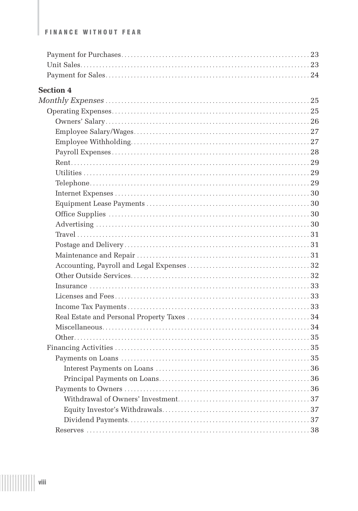#### **FINANCE WITHOUT FEAR**

| <b>Section 4</b> |  |
|------------------|--|
|                  |  |
|                  |  |
|                  |  |
|                  |  |
|                  |  |
|                  |  |
|                  |  |
|                  |  |
|                  |  |
|                  |  |
|                  |  |
|                  |  |
|                  |  |
|                  |  |
|                  |  |
|                  |  |
|                  |  |
|                  |  |
|                  |  |
|                  |  |
|                  |  |
|                  |  |
|                  |  |
|                  |  |
|                  |  |
|                  |  |
|                  |  |
|                  |  |
|                  |  |
|                  |  |
|                  |  |
|                  |  |
|                  |  |